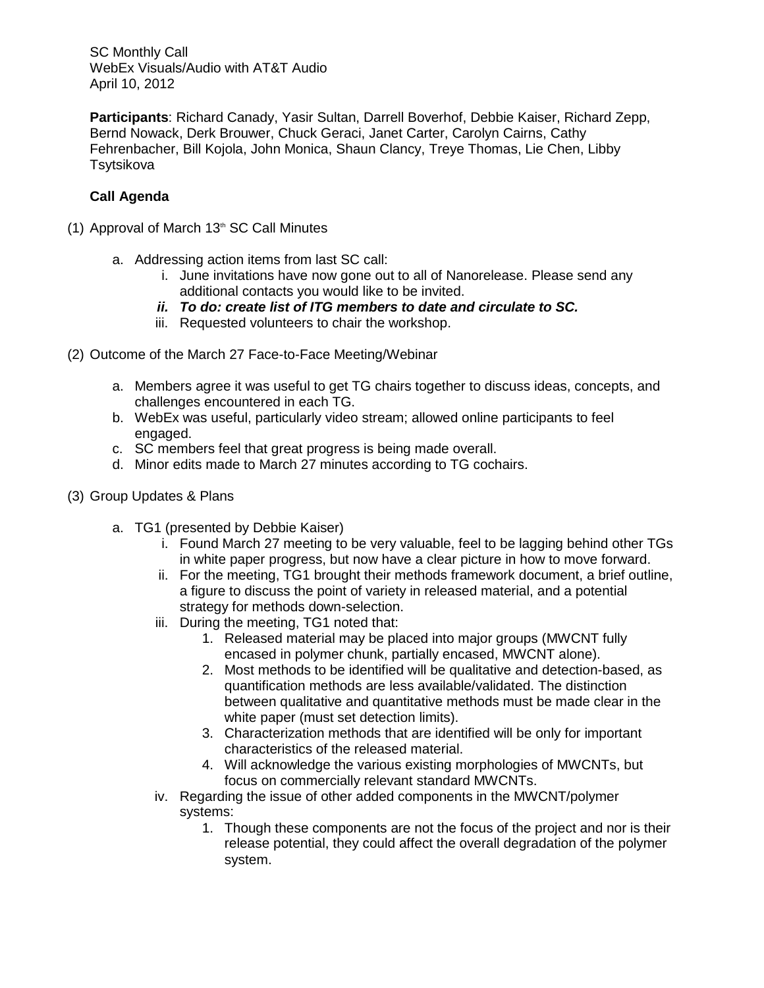**Participants**: Richard Canady, Yasir Sultan, Darrell Boverhof, Debbie Kaiser, Richard Zepp, Bernd Nowack, Derk Brouwer, Chuck Geraci, Janet Carter, Carolyn Cairns, Cathy Fehrenbacher, Bill Kojola, John Monica, Shaun Clancy, Treye Thomas, Lie Chen, Libby **Tsytsikova** 

## **Call Agenda**

- (1) Approval of March  $13<sup>th</sup>$  SC Call Minutes
	- a. Addressing action items from last SC call:
		- i. June invitations have now gone out to all of Nanorelease. Please send any additional contacts you would like to be invited.
		- *ii. To do: create list of ITG members to date and circulate to SC.*
		- iii. Requested volunteers to chair the workshop.
- (2) Outcome of the March 27 Face-to-Face Meeting/Webinar
	- a. Members agree it was useful to get TG chairs together to discuss ideas, concepts, and challenges encountered in each TG.
	- b. WebEx was useful, particularly video stream; allowed online participants to feel engaged.
	- c. SC members feel that great progress is being made overall.
	- d. Minor edits made to March 27 minutes according to TG cochairs.
- (3) Group Updates & Plans
	- a. TG1 (presented by Debbie Kaiser)
		- i. Found March 27 meeting to be very valuable, feel to be lagging behind other TGs in white paper progress, but now have a clear picture in how to move forward.
		- ii. For the meeting, TG1 brought their methods framework document, a brief outline, a figure to discuss the point of variety in released material, and a potential strategy for methods down-selection.
		- iii. During the meeting, TG1 noted that:
			- 1. Released material may be placed into major groups (MWCNT fully encased in polymer chunk, partially encased, MWCNT alone).
			- 2. Most methods to be identified will be qualitative and detection-based, as quantification methods are less available/validated. The distinction between qualitative and quantitative methods must be made clear in the white paper (must set detection limits).
			- 3. Characterization methods that are identified will be only for important characteristics of the released material.
			- 4. Will acknowledge the various existing morphologies of MWCNTs, but focus on commercially relevant standard MWCNTs.
		- iv. Regarding the issue of other added components in the MWCNT/polymer systems:
			- 1. Though these components are not the focus of the project and nor is their release potential, they could affect the overall degradation of the polymer system.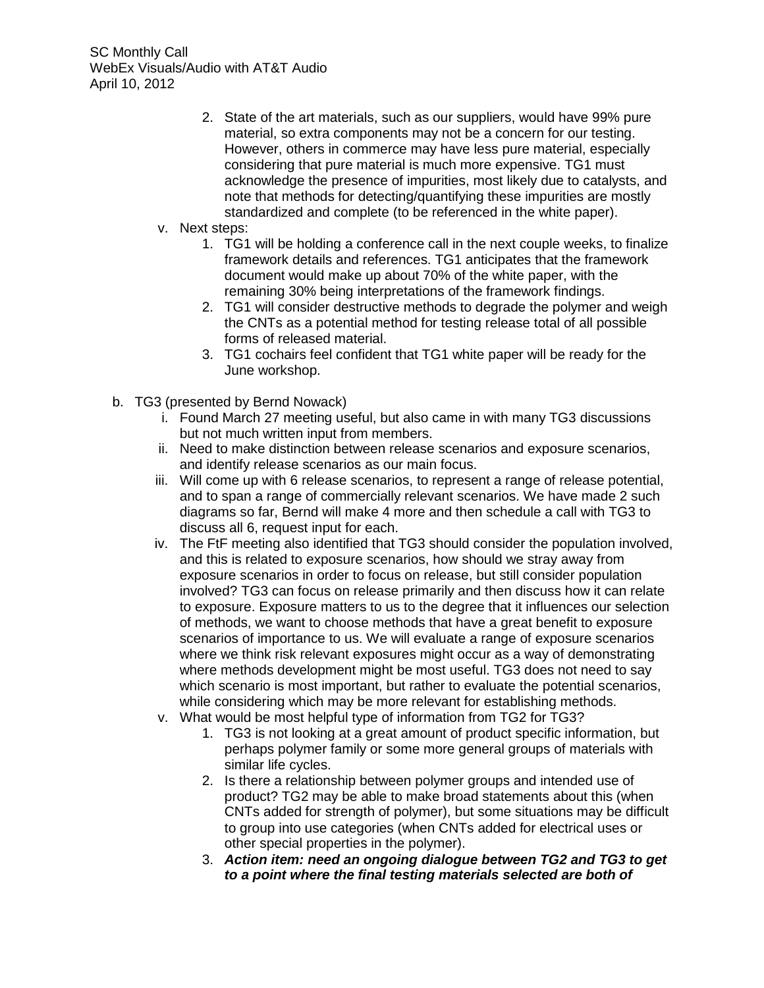- 2. State of the art materials, such as our suppliers, would have 99% pure material, so extra components may not be a concern for our testing. However, others in commerce may have less pure material, especially considering that pure material is much more expensive. TG1 must acknowledge the presence of impurities, most likely due to catalysts, and note that methods for detecting/quantifying these impurities are mostly standardized and complete (to be referenced in the white paper).
- v. Next steps:
	- 1. TG1 will be holding a conference call in the next couple weeks, to finalize framework details and references. TG1 anticipates that the framework document would make up about 70% of the white paper, with the remaining 30% being interpretations of the framework findings.
	- 2. TG1 will consider destructive methods to degrade the polymer and weigh the CNTs as a potential method for testing release total of all possible forms of released material.
	- 3. TG1 cochairs feel confident that TG1 white paper will be ready for the June workshop.
- b. TG3 (presented by Bernd Nowack)
	- i. Found March 27 meeting useful, but also came in with many TG3 discussions but not much written input from members.
	- ii. Need to make distinction between release scenarios and exposure scenarios, and identify release scenarios as our main focus.
	- iii. Will come up with 6 release scenarios, to represent a range of release potential, and to span a range of commercially relevant scenarios. We have made 2 such diagrams so far, Bernd will make 4 more and then schedule a call with TG3 to discuss all 6, request input for each.
	- iv. The FtF meeting also identified that TG3 should consider the population involved, and this is related to exposure scenarios, how should we stray away from exposure scenarios in order to focus on release, but still consider population involved? TG3 can focus on release primarily and then discuss how it can relate to exposure. Exposure matters to us to the degree that it influences our selection of methods, we want to choose methods that have a great benefit to exposure scenarios of importance to us. We will evaluate a range of exposure scenarios where we think risk relevant exposures might occur as a way of demonstrating where methods development might be most useful. TG3 does not need to say which scenario is most important, but rather to evaluate the potential scenarios, while considering which may be more relevant for establishing methods.
	- v. What would be most helpful type of information from TG2 for TG3?
		- 1. TG3 is not looking at a great amount of product specific information, but perhaps polymer family or some more general groups of materials with similar life cycles.
		- 2. Is there a relationship between polymer groups and intended use of product? TG2 may be able to make broad statements about this (when CNTs added for strength of polymer), but some situations may be difficult to group into use categories (when CNTs added for electrical uses or other special properties in the polymer).
		- 3. *Action item: need an ongoing dialogue between TG2 and TG3 to get to a point where the final testing materials selected are both of*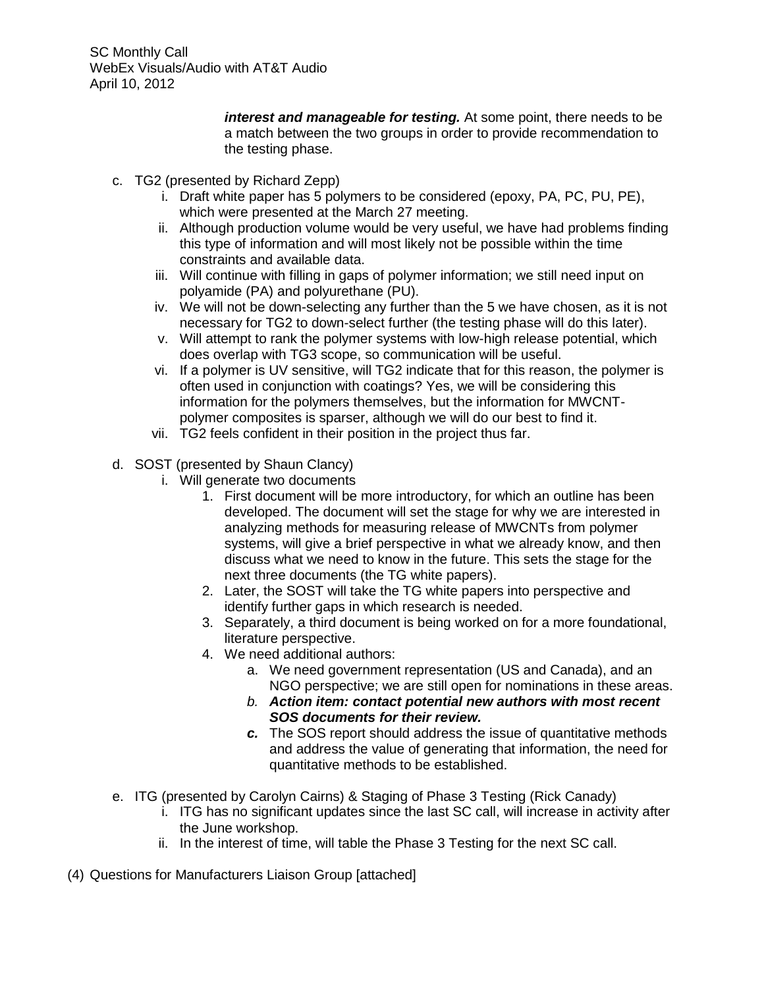> *interest and manageable for testing.* At some point, there needs to be a match between the two groups in order to provide recommendation to the testing phase.

- c. TG2 (presented by Richard Zepp)
	- i. Draft white paper has 5 polymers to be considered (epoxy, PA, PC, PU, PE), which were presented at the March 27 meeting.
	- ii. Although production volume would be very useful, we have had problems finding this type of information and will most likely not be possible within the time constraints and available data.
	- iii. Will continue with filling in gaps of polymer information; we still need input on polyamide (PA) and polyurethane (PU).
	- iv. We will not be down-selecting any further than the 5 we have chosen, as it is not necessary for TG2 to down-select further (the testing phase will do this later).
	- v. Will attempt to rank the polymer systems with low-high release potential, which does overlap with TG3 scope, so communication will be useful.
	- vi. If a polymer is UV sensitive, will TG2 indicate that for this reason, the polymer is often used in conjunction with coatings? Yes, we will be considering this information for the polymers themselves, but the information for MWCNTpolymer composites is sparser, although we will do our best to find it.
	- vii. TG2 feels confident in their position in the project thus far.
- d. SOST (presented by Shaun Clancy)
	- i. Will generate two documents
		- 1. First document will be more introductory, for which an outline has been developed. The document will set the stage for why we are interested in analyzing methods for measuring release of MWCNTs from polymer systems, will give a brief perspective in what we already know, and then discuss what we need to know in the future. This sets the stage for the next three documents (the TG white papers).
		- 2. Later, the SOST will take the TG white papers into perspective and identify further gaps in which research is needed.
		- 3. Separately, a third document is being worked on for a more foundational, literature perspective.
		- 4. We need additional authors:
			- a. We need government representation (US and Canada), and an NGO perspective; we are still open for nominations in these areas.
			- *b. Action item: contact potential new authors with most recent SOS documents for their review.*
			- *c.* The SOS report should address the issue of quantitative methods and address the value of generating that information, the need for quantitative methods to be established.
- e. ITG (presented by Carolyn Cairns) & Staging of Phase 3 Testing (Rick Canady)
	- i. ITG has no significant updates since the last SC call, will increase in activity after the June workshop.
	- ii. In the interest of time, will table the Phase 3 Testing for the next SC call.
- (4) Questions for Manufacturers Liaison Group [attached]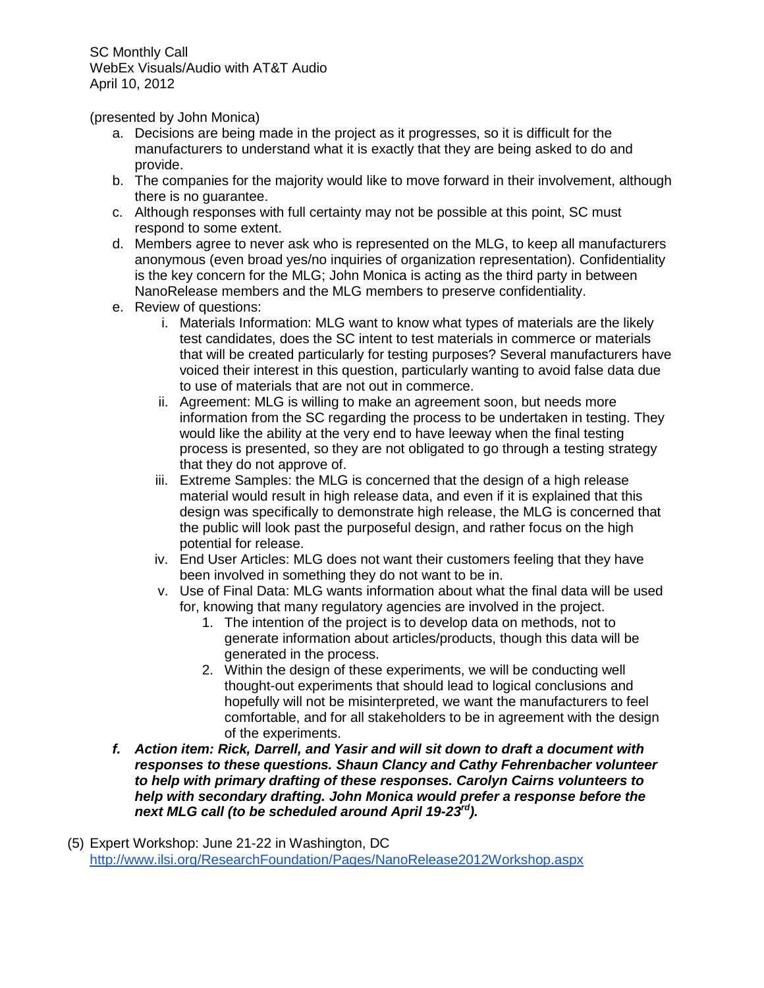(presented by John Monica)

- a. Decisions are being made in the project as it progresses, so it is difficult for the manufacturers to understand what it is exactly that they are being asked to do and provide.
- b. The companies for the majority would like to move forward in their involvement, although there is no guarantee.
- c. Although responses with full certainty may not be possible at this point, SC must respond to some extent.
- d. Members agree to never ask who is represented on the MLG, to keep all manufacturers anonymous (even broad yes/no inquiries of organization representation). Confidentiality is the key concern for the MLG; John Monica is acting as the third party in between NanoRelease members and the MLG members to preserve confidentiality.
- e. Review of questions:
	- i. Materials Information: MLG want to know what types of materials are the likely test candidates, does the SC intent to test materials in commerce or materials that will be created particularly for testing purposes? Several manufacturers have voiced their interest in this question, particularly wanting to avoid false data due to use of materials that are not out in commerce.
	- ii. Agreement: MLG is willing to make an agreement soon, but needs more information from the SC regarding the process to be undertaken in testing. They would like the ability at the very end to have leeway when the final testing process is presented, so they are not obligated to go through a testing strategy that they do not approve of.
	- iii. Extreme Samples: the MLG is concerned that the design of a high release material would result in high release data, and even if it is explained that this design was specifically to demonstrate high release, the MLG is concerned that the public will look past the purposeful design, and rather focus on the high potential for release.
	- iv. End User Articles: MLG does not want their customers feeling that they have been involved in something they do not want to be in.
	- v. Use of Final Data: MLG wants information about what the final data will be used for, knowing that many regulatory agencies are involved in the project.
		- 1. The intention of the project is to develop data on methods, not to generate information about articles/products, though this data will be generated in the process.
		- 2. Within the design of these experiments, we will be conducting well thought-out experiments that should lead to logical conclusions and hopefully will not be misinterpreted, we want the manufacturers to feel comfortable, and for all stakeholders to be in agreement with the design of the experiments.
- *f. Action item: Rick, Darrell, and Yasir and will sit down to draft a document with responses to these questions. Shaun Clancy and Cathy Fehrenbacher volunteer to help with primary drafting of these responses. Carolyn Cairns volunteers to help with secondary drafting. John Monica would prefer a response before the next MLG call (to be scheduled around April 19-23rd).*
- (5) Expert Workshop: June 21-22 in Washington, DC <http://www.ilsi.org/ResearchFoundation/Pages/NanoRelease2012Workshop.aspx>